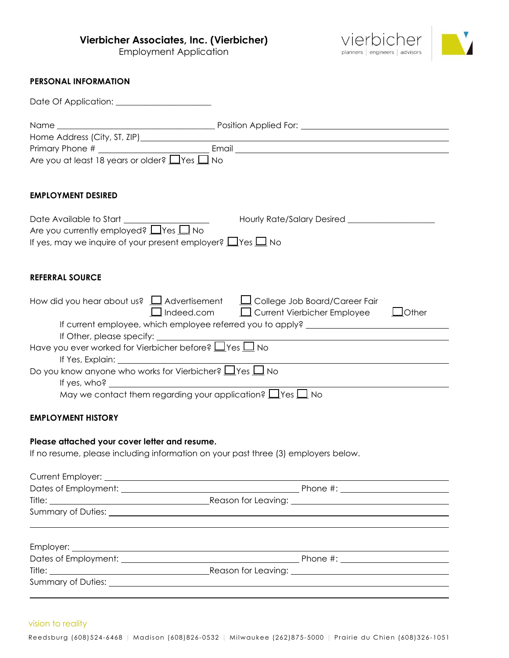**Vierbicher Associates, Inc. (Vierbicher)**

Employment Application



#### **PERSONAL INFORMATION**

| Are you at least 18 years or older? $\Box$ Yes $\Box$ No                                                                                                                                                                       |                                                                                   |  |
|--------------------------------------------------------------------------------------------------------------------------------------------------------------------------------------------------------------------------------|-----------------------------------------------------------------------------------|--|
|                                                                                                                                                                                                                                |                                                                                   |  |
| <b>EMPLOYMENT DESIRED</b>                                                                                                                                                                                                      |                                                                                   |  |
| Date Available to Start ________________<br>Are you currently employed? $\Box$ Yes $\Box$ No                                                                                                                                   |                                                                                   |  |
| If yes, may we inquire of your present employer? $\Box$ Yes $\Box$ No                                                                                                                                                          |                                                                                   |  |
|                                                                                                                                                                                                                                |                                                                                   |  |
| <b>REFERRAL SOURCE</b>                                                                                                                                                                                                         |                                                                                   |  |
| How did you hear about us? $\Box$ Advertisement $\Box$ College Job Board/Career Fair                                                                                                                                           | $\Box$ Indeed.com $\Box$ Current Vierbicher Employee $\Box$ Other                 |  |
|                                                                                                                                                                                                                                | If current employee, which employee referred you to apply? ______________________ |  |
| If Other, please specify:                                                                                                                                                                                                      |                                                                                   |  |
| Have you ever worked for Vierbicher before? $\Box$ Yes $\Box$ No                                                                                                                                                               |                                                                                   |  |
| If Yes, Explain: University of the Second Second Second Second Second Second Second Second Second Second Second Second Second Second Second Second Second Second Second Second Second Second Second Second Second Second Secon |                                                                                   |  |
| Do you know anyone who works for Vierbicher? $\Box$ Yes $\Box$ No                                                                                                                                                              |                                                                                   |  |
| If yes, $who$ ?                                                                                                                                                                                                                |                                                                                   |  |
| May we contact them regarding your application? $\Box$ Yes $\Box$ No                                                                                                                                                           |                                                                                   |  |

# **EMPLOYMENT HISTORY**

#### **Please attached your cover letter and resume.**

If no resume, please including information on your past three (3) employers below.

| Summary of Duties: _________________ |  |  |  |
|--------------------------------------|--|--|--|
|                                      |  |  |  |

vision to reality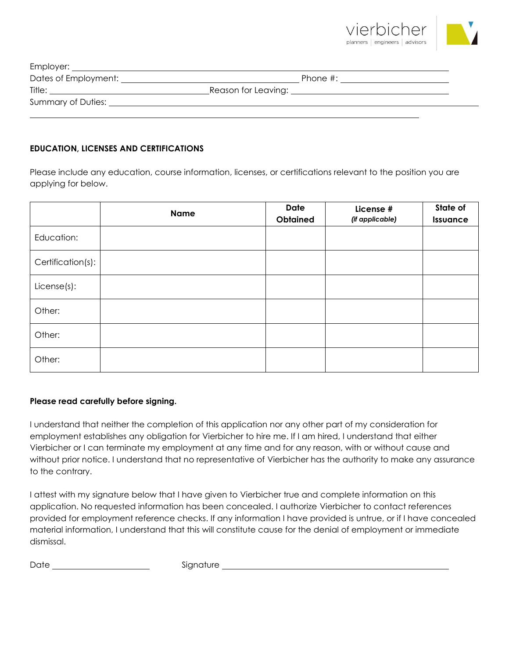

| Dates of Employment: | Phone $\#$ :        |
|----------------------|---------------------|
| Title:               | Reason for Leaving: |
| Summary of Duties:   |                     |
|                      |                     |

# **EDUCATION, LICENSES AND CERTIFICATIONS**

Please include any education, course information, licenses, or certifications relevant to the position you are applying for below.

|                   | <b>Name</b> | <b>Date</b><br><b>Obtained</b> | License #<br>(if applicable) | State of<br>Issuance |
|-------------------|-------------|--------------------------------|------------------------------|----------------------|
| Education:        |             |                                |                              |                      |
| Certification(s): |             |                                |                              |                      |
| $License(s)$ :    |             |                                |                              |                      |
| Other:            |             |                                |                              |                      |
| Other:            |             |                                |                              |                      |
| Other:            |             |                                |                              |                      |

### **Please read carefully before signing.**

I understand that neither the completion of this application nor any other part of my consideration for employment establishes any obligation for Vierbicher to hire me. If I am hired, I understand that either Vierbicher or I can terminate my employment at any time and for any reason, with or without cause and without prior notice. I understand that no representative of Vierbicher has the authority to make any assurance to the contrary.

I attest with my signature below that I have given to Vierbicher true and complete information on this application. No requested information has been concealed. I authorize Vierbicher to contact references provided for employment reference checks. If any information I have provided is untrue, or if I have concealed material information, I understand that this will constitute cause for the denial of employment or immediate dismissal.

Date Signature